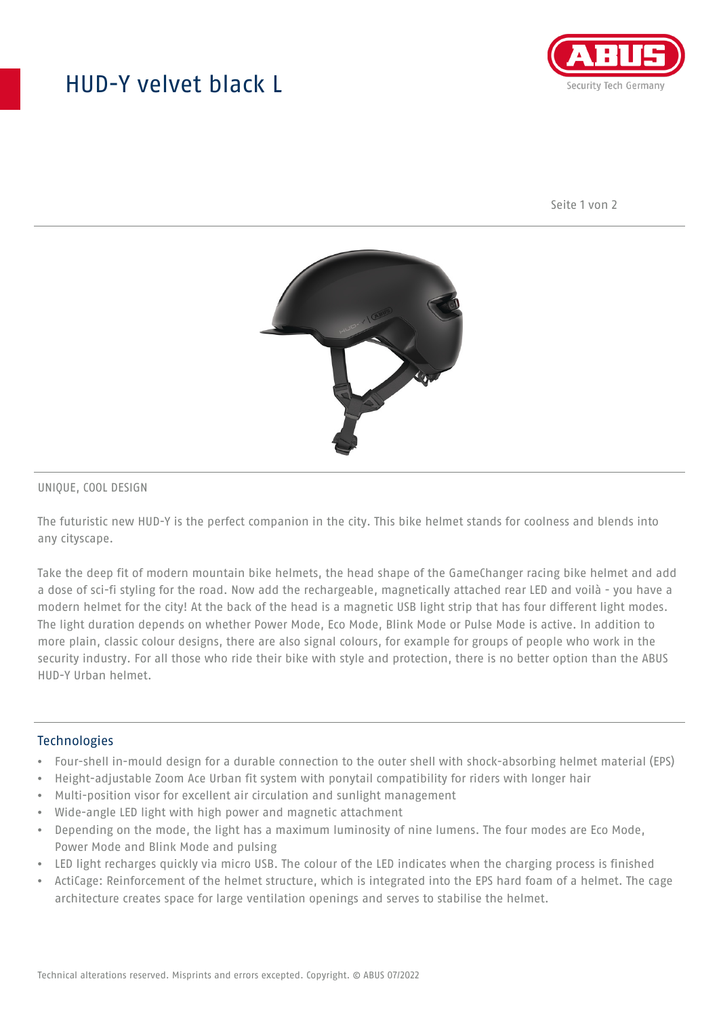## HUD-Y velvet black L



Seite 1 von 2



#### UNIQUE, COOL DESIGN

The futuristic new HUD-Y is the perfect companion in the city. This bike helmet stands for coolness and blends into any cityscape.

Take the deep fit of modern mountain bike helmets, the head shape of the GameChanger racing bike helmet and add a dose of sci-fi styling for the road. Now add the rechargeable, magnetically attached rear LED and voilà - you have a modern helmet for the city! At the back of the head is a magnetic USB light strip that has four different light modes. The light duration depends on whether Power Mode, Eco Mode, Blink Mode or Pulse Mode is active. In addition to more plain, classic colour designs, there are also signal colours, for example for groups of people who work in the security industry. For all those who ride their bike with style and protection, there is no better option than the ABUS HUD-Y Urban helmet.

#### **Technologies**

- Four-shell in-mould design for a durable connection to the outer shell with shock-absorbing helmet material (EPS)
- Height-adjustable Zoom Ace Urban fit system with ponytail compatibility for riders with longer hair
- Multi-position visor for excellent air circulation and sunlight management
- Wide-angle LED light with high power and magnetic attachment
- Depending on the mode, the light has a maximum luminosity of nine lumens. The four modes are Eco Mode, Power Mode and Blink Mode and pulsing
- LED light recharges quickly via micro USB. The colour of the LED indicates when the charging process is finished
- ActiCage: Reinforcement of the helmet structure, which is integrated into the EPS hard foam of a helmet. The cage architecture creates space for large ventilation openings and serves to stabilise the helmet.